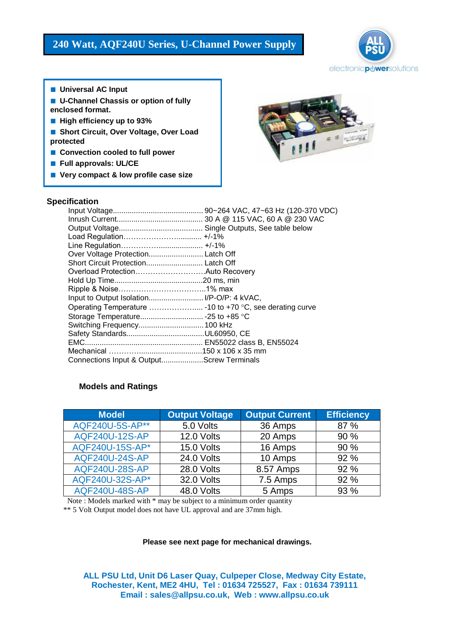

- **Universal AC Input**
- **U-Channel Chassis or option of fully enclosed format.**
- High efficiency up to 93%
- **Short Circuit, Over Voltage, Over Load protected**
- **Convection cooled to full power**
- **Full approvals: UL/CE**
- **Very compact & low profile case size**



# **Specification**

| Over Voltage Protection Latch Off                         |  |
|-----------------------------------------------------------|--|
|                                                           |  |
|                                                           |  |
|                                                           |  |
|                                                           |  |
|                                                           |  |
| Operating Temperature  - 10 to +70 °C, see derating curve |  |
|                                                           |  |
| Switching Frequency 100 kHz                               |  |
|                                                           |  |
|                                                           |  |
|                                                           |  |
| Connections Input & OutputScrew Terminals                 |  |

# **Models and Ratings**

| <b>Model</b>          | <b>Output Voltage</b> | <b>Output Current</b> | <b>Efficiency</b> |
|-----------------------|-----------------------|-----------------------|-------------------|
| AQF240U-5S-AP**       | 5.0 Volts             | 36 Amps               | 87 %              |
| <b>AQF240U-12S-AP</b> | 12.0 Volts            | 20 Amps               | 90 %              |
| AQF240U-15S-AP*       | 15.0 Volts            | 16 Amps               | 90 %              |
| <b>AQF240U-24S-AP</b> | 24.0 Volts            | 10 Amps               | 92 %              |
| <b>AQF240U-28S-AP</b> | 28.0 Volts            | 8.57 Amps             | 92 %              |
| AQF240U-32S-AP*       | 32.0 Volts            | 7.5 Amps              | 92 %              |
| <b>AQF240U-48S-AP</b> | 48.0 Volts            | 5 Amps                | 93 %              |

Note : Models marked with \* may be subject to a minimum order quantity

\*\* 5 Volt Output model does not have UL approval and are 37mm high.

### **Please see next page for mechanical drawings.**

**ALL PSU Ltd, Unit D6 Laser Quay, Culpeper Close, Medway City Estate, Rochester, Kent, ME2 4HU, Tel : 01634 725527, Fax : 01634 739111 Email : sales@allpsu.co.uk, Web : www.allpsu.co.uk**